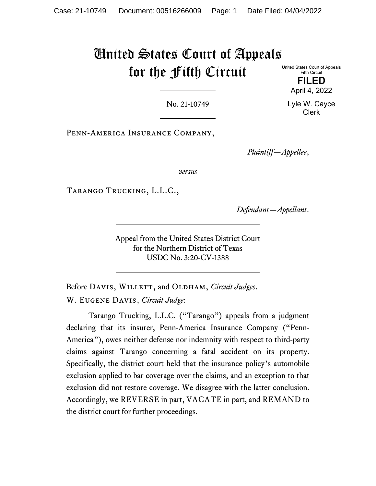# United States Court of Appeals for the Fifth Circuit

United States Court of Appeals Fifth Circuit

> **FILED** April 4, 2022

Lyle W. Cayce Clerk

No. 21-10749

Penn-America Insurance Company,

*Plaintiff—Appellee*,

*versus*

Tarango Trucking, L.L.C.,

*Defendant—Appellant*.

Appeal from the United States District Court for the Northern District of Texas USDC No. 3:20-CV-1388

Before DAVIS, WILLETT, and OLDHAM, *Circuit Judges*. W. Eugene Davis, *Circuit Judge*:

Tarango Trucking, L.L.C. ("Tarango") appeals from a judgment declaring that its insurer, Penn-America Insurance Company ("Penn-America"), owes neither defense nor indemnity with respect to third-party claims against Tarango concerning a fatal accident on its property. Specifically, the district court held that the insurance policy's automobile exclusion applied to bar coverage over the claims, and an exception to that exclusion did not restore coverage. We disagree with the latter conclusion. Accordingly, we REVERSE in part, VACATE in part, and REMAND to the district court for further proceedings.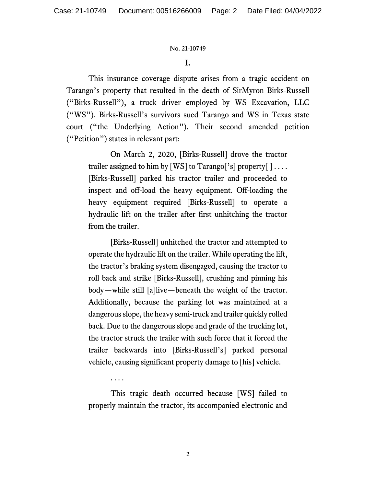## **I.**

This insurance coverage dispute arises from a tragic accident on Tarango's property that resulted in the death of SirMyron Birks-Russell ("Birks-Russell"), a truck driver employed by WS Excavation, LLC ("WS"). Birks-Russell's survivors sued Tarango and WS in Texas state court ("the Underlying Action"). Their second amended petition ("Petition") states in relevant part:

On March 2, 2020, [Birks-Russell] drove the tractor trailer assigned to him by [WS] to Tarango['s] property[ $] \ldots$ . [Birks-Russell] parked his tractor trailer and proceeded to inspect and off-load the heavy equipment. Off-loading the heavy equipment required [Birks-Russell] to operate a hydraulic lift on the trailer after first unhitching the tractor from the trailer.

[Birks-Russell] unhitched the tractor and attempted to operate the hydraulic lift on the trailer. While operating the lift, the tractor's braking system disengaged, causing the tractor to roll back and strike [Birks-Russell], crushing and pinning his body—while still [a]live—beneath the weight of the tractor. Additionally, because the parking lot was maintained at a dangerous slope, the heavy semi-truck and trailer quickly rolled back. Due to the dangerous slope and grade of the trucking lot, the tractor struck the trailer with such force that it forced the trailer backwards into [Birks-Russell's] parked personal vehicle, causing significant property damage to [his] vehicle.

This tragic death occurred because [WS] failed to properly maintain the tractor, its accompanied electronic and

. . . .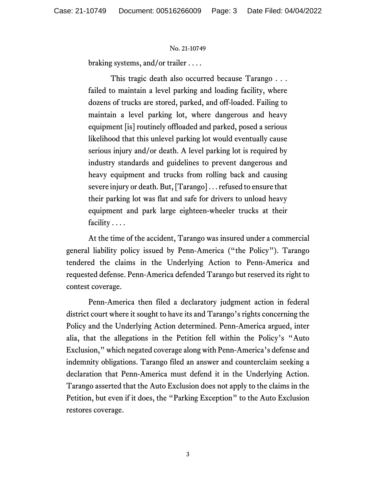braking systems, and/or trailer . . . .

This tragic death also occurred because Tarango . . . failed to maintain a level parking and loading facility, where dozens of trucks are stored, parked, and off-loaded. Failing to maintain a level parking lot, where dangerous and heavy equipment [is] routinely offloaded and parked, posed a serious likelihood that this unlevel parking lot would eventually cause serious injury and/or death. A level parking lot is required by industry standards and guidelines to prevent dangerous and heavy equipment and trucks from rolling back and causing severe injury or death. But, [Tarango] . . . refused to ensure that their parking lot was flat and safe for drivers to unload heavy equipment and park large eighteen-wheeler trucks at their facility . . . .

At the time of the accident, Tarango was insured under a commercial general liability policy issued by Penn-America ("the Policy"). Tarango tendered the claims in the Underlying Action to Penn-America and requested defense. Penn-America defended Tarango but reserved its right to contest coverage.

Penn-America then filed a declaratory judgment action in federal district court where it sought to have its and Tarango's rights concerning the Policy and the Underlying Action determined. Penn-America argued, inter alia, that the allegations in the Petition fell within the Policy's "Auto Exclusion," which negated coverage along with Penn-America's defense and indemnity obligations. Tarango filed an answer and counterclaim seeking a declaration that Penn-America must defend it in the Underlying Action. Tarango asserted that the Auto Exclusion does not apply to the claims in the Petition, but even if it does, the "Parking Exception" to the Auto Exclusion restores coverage.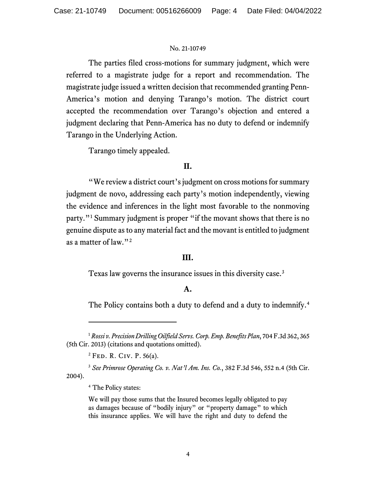The parties filed cross-motions for summary judgment, which were referred to a magistrate judge for a report and recommendation. The magistrate judge issued a written decision that recommended granting Penn-America's motion and denying Tarango's motion. The district court accepted the recommendation over Tarango's objection and entered a judgment declaring that Penn-America has no duty to defend or indemnify Tarango in the Underlying Action.

Tarango timely appealed.

# **II.**

"We review a district court's judgment on cross motions for summary judgment de novo, addressing each party's motion independently, viewing the evidence and inferences in the light most favorable to the nonmoving party."<sup>[1](#page-3-0)</sup> Summary judgment is proper "if the movant shows that there is no genuine dispute as to any material fact and the movant is entitled to judgment as a matter of law."[2](#page-3-1)

## **III.**

Texas law governs the insurance issues in this diversity case.<sup>[3](#page-3-2)</sup>

## **A.**

The Policy contains both a duty to defend and a duty to indemnify.<sup>[4](#page-3-3)</sup>

 $2$  FED. R. CIV. P. 56(a).

<span id="page-3-3"></span><span id="page-3-2"></span><span id="page-3-1"></span><sup>3</sup> *See Primrose Operating Co. v. Nat'l Am. Ins. Co.*, 382 F.3d 546, 552 n.4 (5th Cir. 2004).

We will pay those sums that the Insured becomes legally obligated to pay as damages because of "bodily injury" or "property damage" to which this insurance applies. We will have the right and duty to defend the

<span id="page-3-0"></span><sup>1</sup> *Rossi v. Precision Drilling Oilfield Servs. Corp. Emp. Benefits Plan*, 704 F.3d 362, 365 (5th Cir. 2013) (citations and quotations omitted).

<sup>4</sup> The Policy states: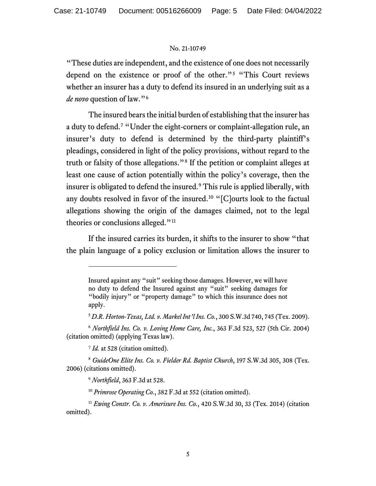"These duties are independent, and the existence of one does not necessarily depend on the existence or proof of the other."[5](#page-4-0) "This Court reviews whether an insurer has a duty to defend its insured in an underlying suit as a *de novo* question of law."[6](#page-4-1)

The insured bears the initial burden of establishing that the insurer has a duty to defend.[7](#page-4-2) "Under the eight-corners or complaint-allegation rule, an insurer's duty to defend is determined by the third-party plaintiff's pleadings, considered in light of the policy provisions, without regard to the truth or falsity of those allegations."[8](#page-4-3) If the petition or complaint alleges at least one cause of action potentially within the policy's coverage, then the insurer is obligated to defend the insured.[9](#page-4-4) This rule is applied liberally, with any doubts resolved in favor of the insured.<sup>[10](#page-4-5)</sup> " $[Cl$ ourts look to the factual allegations showing the origin of the damages claimed, not to the legal theories or conclusions alleged."<sup>[11](#page-4-6)</sup>

If the insured carries its burden, it shifts to the insurer to show "that the plain language of a policy exclusion or limitation allows the insurer to

<sup>7</sup> *Id.* at 528 (citation omitted).

Insured against any "suit" seeking those damages. However, we will have no duty to defend the Insured against any "suit" seeking damages for "bodily injury" or "property damage" to which this insurance does not apply.

<sup>5</sup> *D.R. Horton-Texas, Ltd. v. Markel Int'l Ins. Co.*, 300 S.W.3d 740, 745 (Tex. 2009).

<span id="page-4-1"></span><span id="page-4-0"></span><sup>6</sup> *Northfield Ins. Co. v. Loving Home Care, Inc.*, 363 F.3d 523, 527 (5th Cir. 2004) (citation omitted) (applying Texas law).

<span id="page-4-4"></span><span id="page-4-3"></span><span id="page-4-2"></span><sup>8</sup> *GuideOne Elite Ins. Co. v. Fielder Rd. Baptist Church*, 197 S.W.3d 305, 308 (Tex. 2006) (citations omitted).

<sup>9</sup> *Northfield*, 363 F.3d at 528.

<sup>10</sup> *Primrose Operating Co.*, 382 F.3d at 552 (citation omitted).

<span id="page-4-6"></span><span id="page-4-5"></span><sup>11</sup> *Ewing Constr. Co. v. Amerisure Ins. Co.*, 420 S.W.3d 30, 33 (Tex. 2014) (citation omitted).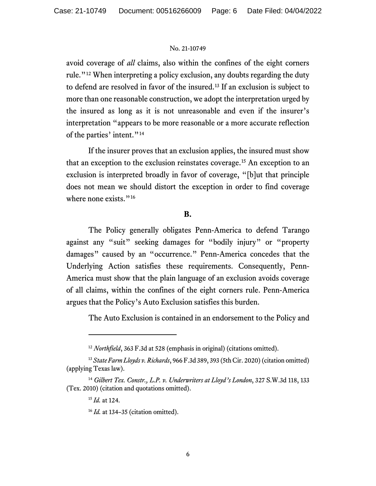avoid coverage of *all* claims, also within the confines of the eight corners rule."[12](#page-5-0) When interpreting a policy exclusion, any doubts regarding the duty to defend are resolved in favor of the insured.[13](#page-5-1) If an exclusion is subject to more than one reasonable construction, we adopt the interpretation urged by the insured as long as it is not unreasonable and even if the insurer's interpretation "appears to be more reasonable or a more accurate reflection of the parties' intent."<sup>[14](#page-5-2)</sup>

If the insurer proves that an exclusion applies, the insured must show that an exception to the exclusion reinstates coverage. [15](#page-5-3) An exception to an exclusion is interpreted broadly in favor of coverage, "[b]ut that principle does not mean we should distort the exception in order to find coverage where none exists."<sup>[16](#page-5-4)</sup>

## **B.**

The Policy generally obligates Penn-America to defend Tarango against any "suit" seeking damages for "bodily injury" or "property damages" caused by an "occurrence." Penn-America concedes that the Underlying Action satisfies these requirements. Consequently, Penn-America must show that the plain language of an exclusion avoids coverage of all claims, within the confines of the eight corners rule. Penn-America argues that the Policy's Auto Exclusion satisfies this burden.

The Auto Exclusion is contained in an endorsement to the Policy and

<sup>&</sup>lt;sup>12</sup> *Northfield*, 363 F.3d at 528 (emphasis in original) (citations omitted).

<span id="page-5-1"></span><span id="page-5-0"></span><sup>13</sup> *State Farm Lloyds v. Richards*, 966 F.3d 389, 393 (5th Cir. 2020) (citation omitted) (applying Texas law).

<span id="page-5-4"></span><span id="page-5-3"></span><span id="page-5-2"></span><sup>14</sup> *Gilbert Tex. Constr., L.P. v. Underwriters at Lloyd's London*, 327 S.W.3d 118, 133 (Tex. 2010) (citation and quotations omitted).

<sup>15</sup> *Id.* at 124.

<sup>16</sup> *Id.* at 134–35 (citation omitted).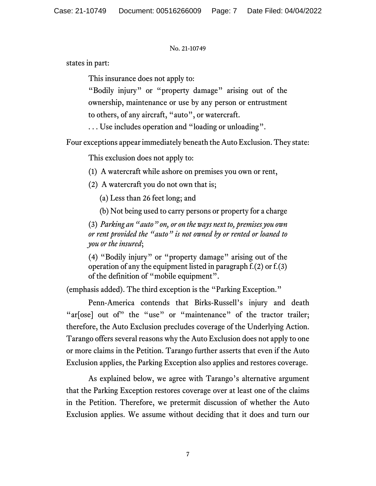states in part:

This insurance does not apply to:

"Bodily injury" or "property damage" arising out of the ownership, maintenance or use by any person or entrustment to others, of any aircraft, "auto", or watercraft.

. . . Use includes operation and "loading or unloading".

Four exceptions appear immediately beneath the Auto Exclusion. They state:

This exclusion does not apply to:

(1) A watercraft while ashore on premises you own or rent,

(2) A watercraft you do not own that is;

(a) Less than 26 feet long; and

(b) Not being used to carry persons or property for a charge

(3) *Parking an "auto" on, or on the ways next to, premises you own or rent provided the "auto" is not owned by or rented or loaned to you or the insured*;

(4) "Bodily injury" or "property damage" arising out of the operation of any the equipment listed in paragraph f.(2) or f.(3) of the definition of "mobile equipment".

(emphasis added). The third exception is the "Parking Exception."

Penn-America contends that Birks-Russell's injury and death "ar[ose] out of" the "use" or "maintenance" of the tractor trailer; therefore, the Auto Exclusion precludes coverage of the Underlying Action. Tarango offers several reasons why the Auto Exclusion does not apply to one or more claims in the Petition. Tarango further asserts that even if the Auto Exclusion applies, the Parking Exception also applies and restores coverage.

As explained below, we agree with Tarango's alternative argument that the Parking Exception restores coverage over at least one of the claims in the Petition. Therefore, we pretermit discussion of whether the Auto Exclusion applies. We assume without deciding that it does and turn our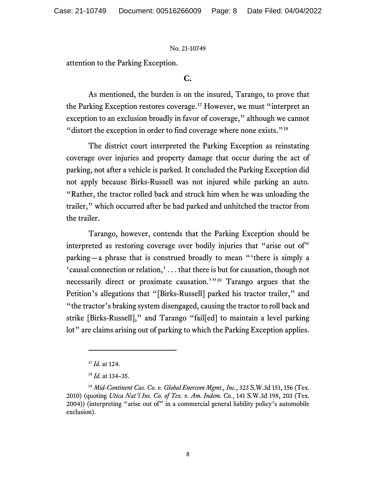attention to the Parking Exception.

# **C.**

As mentioned, the burden is on the insured, Tarango, to prove that the Parking Exception restores coverage.[17](#page-7-0) However, we must "interpret an exception to an exclusion broadly in favor of coverage," although we cannot "distort the exception in order to find coverage where none exists."<sup>[18](#page-7-1)</sup>

The district court interpreted the Parking Exception as reinstating coverage over injuries and property damage that occur during the act of parking, not after a vehicle is parked. It concluded the Parking Exception did not apply because Birks-Russell was not injured while parking an auto. "Rather, the tractor rolled back and struck him when he was unloading the trailer," which occurred after he had parked and unhitched the tractor from the trailer.

Tarango, however, contends that the Parking Exception should be interpreted as restoring coverage over bodily injuries that "arise out of" parking—a phrase that is construed broadly to mean "'there is simply a 'causal connection or relation,' . . . that there is but for causation, though not necessarily direct or proximate causation.'"[19](#page-7-2) Tarango argues that the Petition's allegations that "[Birks-Russell] parked his tractor trailer," and "the tractor's braking system disengaged, causing the tractor to roll back and strike [Birks-Russell]," and Tarango "fail[ed] to maintain a level parking lot" are claims arising out of parking to which the Parking Exception applies.

<sup>17</sup> *Id.* at 124.

<sup>18</sup> *Id.* at 134–35.

<span id="page-7-2"></span><span id="page-7-1"></span><span id="page-7-0"></span><sup>19</sup> *Mid-Continent Cas. Co. v. Global Enercom Mgmt., Inc.*, 323 S.W.3d 151, 156 (Tex. 2010) (quoting *Utica Nat'l Ins. Co. of Tex. v. Am. Indem. Co.*, 141 S.W.3d 198, 203 (Tex. 2004)) (interpreting "arise out of" in a commercial general liability policy's automobile exclusion).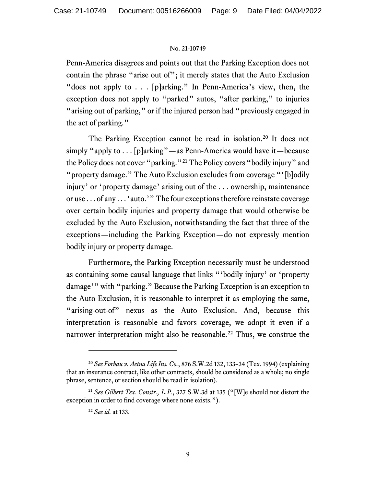Penn-America disagrees and points out that the Parking Exception does not contain the phrase "arise out of"; it merely states that the Auto Exclusion "does not apply to . . . [p]arking." In Penn-America's view, then, the exception does not apply to "parked" autos, "after parking," to injuries "arising out of parking," or if the injured person had "previously engaged in the act of parking."

The Parking Exception cannot be read in isolation.<sup>[20](#page-8-0)</sup> It does not simply "apply to  $\dots$  [p]arking"—as Penn-America would have it—because the Policy does not cover "parking."[21](#page-8-1) The Policy covers "bodily injury" and "property damage." The Auto Exclusion excludes from coverage "'[b]odily injury' or 'property damage' arising out of the . . . ownership, maintenance or use . . . of any . . . 'auto.'" The four exceptions therefore reinstate coverage over certain bodily injuries and property damage that would otherwise be excluded by the Auto Exclusion, notwithstanding the fact that three of the exceptions—including the Parking Exception—do not expressly mention bodily injury or property damage.

Furthermore, the Parking Exception necessarily must be understood as containing some causal language that links "'bodily injury' or 'property damage'" with "parking." Because the Parking Exception is an exception to the Auto Exclusion, it is reasonable to interpret it as employing the same, "arising-out-of" nexus as the Auto Exclusion. And, because this interpretation is reasonable and favors coverage, we adopt it even if a narrower interpretation might also be reasonable.<sup>[22](#page-8-2)</sup> Thus, we construe the

<span id="page-8-0"></span><sup>20</sup> *See Forbau v. Aetna Life Ins. Co.*, 876 S.W.2d 132, 133–34 (Tex. 1994) (explaining that an insurance contract, like other contracts, should be considered as a whole; no single phrase, sentence, or section should be read in isolation).

<span id="page-8-2"></span><span id="page-8-1"></span><sup>21</sup> *See Gilbert Tex. Constr., L.P.*, 327 S.W.3d at 135 ("[W]e should not distort the exception in order to find coverage where none exists.").

<sup>22</sup> *See id.* at 133.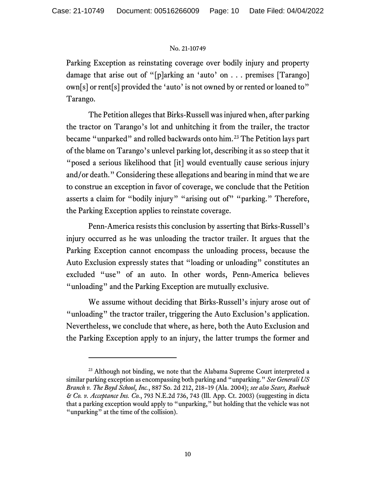Parking Exception as reinstating coverage over bodily injury and property damage that arise out of "[p]arking an 'auto' on . . . premises [Tarango] own[s] or rent[s] provided the 'auto' is not owned by or rented or loaned to" Tarango.

The Petition alleges that Birks-Russell was injured when, after parking the tractor on Tarango's lot and unhitching it from the trailer, the tractor became "unparked" and rolled backwards onto him.<sup>[23](#page-9-0)</sup> The Petition lays part of the blame on Tarango's unlevel parking lot, describing it as so steep that it "posed a serious likelihood that [it] would eventually cause serious injury and/or death." Considering these allegations and bearing in mind that we are to construe an exception in favor of coverage, we conclude that the Petition asserts a claim for "bodily injury" "arising out of" "parking." Therefore, the Parking Exception applies to reinstate coverage.

Penn-America resists this conclusion by asserting that Birks-Russell's injury occurred as he was unloading the tractor trailer. It argues that the Parking Exception cannot encompass the unloading process, because the Auto Exclusion expressly states that "loading or unloading" constitutes an excluded "use" of an auto. In other words, Penn-America believes "unloading" and the Parking Exception are mutually exclusive.

We assume without deciding that Birks-Russell's injury arose out of "unloading" the tractor trailer, triggering the Auto Exclusion's application. Nevertheless, we conclude that where, as here, both the Auto Exclusion and the Parking Exception apply to an injury, the latter trumps the former and

<span id="page-9-0"></span><sup>&</sup>lt;sup>23</sup> Although not binding, we note that the Alabama Supreme Court interpreted a similar parking exception as encompassing both parking and "unparking." *See Generali US Branch v. The Boyd School, Inc.*, 887 So. 2d 212, 218–19 (Ala. 2004); *see also Sears, Roebuck & Co. v. Acceptance Ins. Co.*, 793 N.E.2d 736, 743 (Ill. App. Ct. 2003) (suggesting in dicta that a parking exception would apply to "unparking," but holding that the vehicle was not "unparking" at the time of the collision).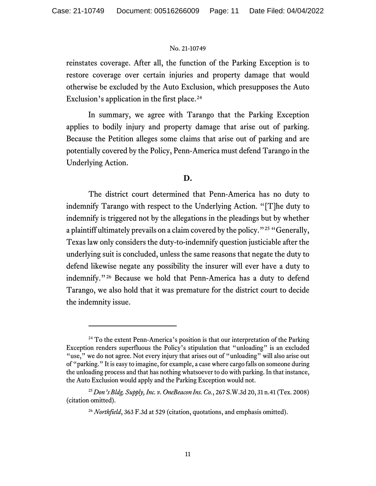reinstates coverage. After all, the function of the Parking Exception is to restore coverage over certain injuries and property damage that would otherwise be excluded by the Auto Exclusion, which presupposes the Auto Exclusion's application in the first place. [24](#page-10-0)

In summary, we agree with Tarango that the Parking Exception applies to bodily injury and property damage that arise out of parking. Because the Petition alleges some claims that arise out of parking and are potentially covered by the Policy, Penn-America must defend Tarango in the Underlying Action.

## **D.**

The district court determined that Penn-America has no duty to indemnify Tarango with respect to the Underlying Action. "[T]he duty to indemnify is triggered not by the allegations in the pleadings but by whether a plaintiff ultimately prevails on a claim covered by the policy."[25](#page-10-1) "Generally, Texas law only considers the duty-to-indemnify question justiciable after the underlying suit is concluded, unless the same reasons that negate the duty to defend likewise negate any possibility the insurer will ever have a duty to indemnify."[26](#page-10-2) Because we hold that Penn-America has a duty to defend Tarango, we also hold that it was premature for the district court to decide the indemnity issue.

<span id="page-10-0"></span> $24$  To the extent Penn-America's position is that our interpretation of the Parking Exception renders superfluous the Policy's stipulation that "unloading" is an excluded "use," we do not agree. Not every injury that arises out of "unloading" will also arise out of "parking." It is easy to imagine, for example, a case where cargo falls on someone during the unloading process and that has nothing whatsoever to do with parking. In that instance, the Auto Exclusion would apply and the Parking Exception would not.

<span id="page-10-2"></span><span id="page-10-1"></span><sup>25</sup> *Don's Bldg. Supply, Inc. v. OneBeacon Ins. Co.*, 267 S.W.3d 20, 31 n.41 (Tex. 2008) (citation omitted).

<sup>&</sup>lt;sup>26</sup> *Northfield*, 363 F.3d at 529 (citation, quotations, and emphasis omitted).